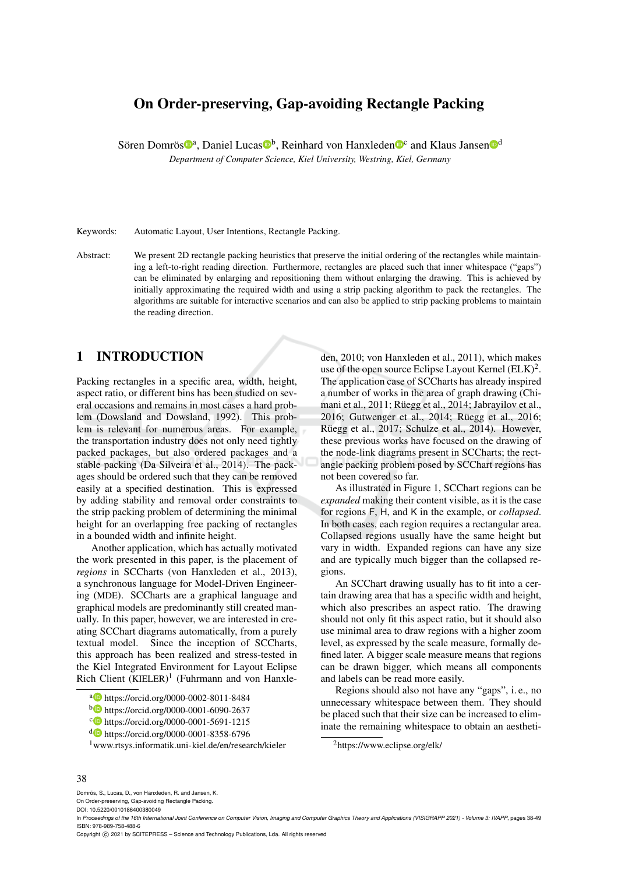# On Order-preserving, Gap-avoiding Rectangle Packing

Sören Domrös<sup>®a</sup>, Daniel Lucas<sup>®b</sup>, Reinhard von Hanxleden<sup>®c</sup> and Klaus Jansen<sup>®d</sup>

*Department of Computer Science, Kiel University, Westring, Kiel, Germany*

Keywords: Automatic Layout, User Intentions, Rectangle Packing.

Abstract: We present 2D rectangle packing heuristics that preserve the initial ordering of the rectangles while maintaining a left-to-right reading direction. Furthermore, rectangles are placed such that inner whitespace ("gaps") can be eliminated by enlarging and repositioning them without enlarging the drawing. This is achieved by initially approximating the required width and using a strip packing algorithm to pack the rectangles. The algorithms are suitable for interactive scenarios and can also be applied to strip packing problems to maintain the reading direction.

## 1 INTRODUCTION

Packing rectangles in a specific area, width, height, aspect ratio, or different bins has been studied on several occasions and remains in most cases a hard problem (Dowsland and Dowsland, 1992). This problem is relevant for numerous areas. For example, the transportation industry does not only need tightly packed packages, but also ordered packages and a stable packing (Da Silveira et al., 2014). The packages should be ordered such that they can be removed easily at a specified destination. This is expressed by adding stability and removal order constraints to the strip packing problem of determining the minimal height for an overlapping free packing of rectangles in a bounded width and infinite height.

Another application, which has actually motivated the work presented in this paper, is the placement of *regions* in SCCharts (von Hanxleden et al., 2013), a synchronous language for Model-Driven Engineering (MDE). SCCharts are a graphical language and graphical models are predominantly still created manually. In this paper, however, we are interested in creating SCChart diagrams automatically, from a purely textual model. Since the inception of SCCharts, this approach has been realized and stress-tested in the Kiel Integrated Environment for Layout Eclipse Rich Client  $(KIELER)^1$  (Fuhrmann and von Hanxle-

- <sup>a</sup> https://orcid.org/0000-0002-8011-8484
- <sup>b</sup> https://orcid.org/0000-0001-6090-2637
- <sup>c</sup> https://orcid.org/0000-0001-5691-1215
- <sup>d</sup> https://orcid.org/0000-0001-8358-6796
- <sup>1</sup>www.rtsys.informatik.uni-kiel.de/en/research/kieler

den, 2010; von Hanxleden et al., 2011), which makes use of the open source Eclipse Layout Kernel  $(ELK)^2$ . The application case of SCCharts has already inspired a number of works in the area of graph drawing (Chimani et al., 2011; Rüegg et al., 2014; Jabrayilov et al., 2016; Gutwenger et al., 2014; Rüegg et al., 2016; Rüegg et al., 2017; Schulze et al., 2014). However, these previous works have focused on the drawing of the node-link diagrams present in SCCharts; the rectangle packing problem posed by SCChart regions has not been covered so far.

As illustrated in Figure 1, SCChart regions can be *expanded* making their content visible, as it is the case for regions F, H, and K in the example, or *collapsed*. In both cases, each region requires a rectangular area. Collapsed regions usually have the same height but vary in width. Expanded regions can have any size and are typically much bigger than the collapsed regions.

An SCChart drawing usually has to fit into a certain drawing area that has a specific width and height, which also prescribes an aspect ratio. The drawing should not only fit this aspect ratio, but it should also use minimal area to draw regions with a higher zoom level, as expressed by the scale measure, formally defined later. A bigger scale measure means that regions can be drawn bigger, which means all components and labels can be read more easily.

Regions should also not have any "gaps", i. e., no unnecessary whitespace between them. They should be placed such that their size can be increased to eliminate the remaining whitespace to obtain an aestheti-

<sup>2</sup>https://www.eclipse.org/elk/

#### 38

Domrös, S., Lucas, D., von Hanxleden, R. and Jansen, K. On Order-preserving, Gap-avoiding Rectangle Packing.

DOI: 10.5220/0010186400380049

Copyright © 2021 by SCITEPRESS - Science and Technology Publications, Lda. All rights reserved

In *Proceedings of the 16th International Joint Conference on Computer Vision, Imaging and Computer Graphics Theory and Applications (VISIGRAPP 2021) - Volume 3: IVAPP*, pages 38-49 ISBN: 978-989-758-488-6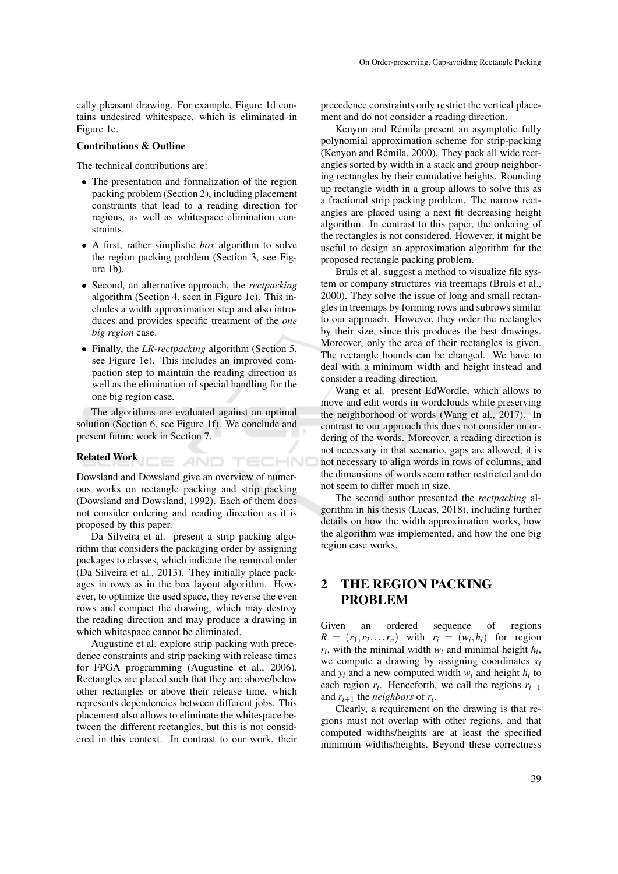cally pleasant drawing. For example, Figure 1d contains undesired whitespace, which is eliminated in Figure 1e.

#### Contributions & Outline

The technical contributions are:

- The presentation and formalization of the region packing problem (Section 2), including placement constraints that lead to a reading direction for regions, as well as whitespace elimination constraints.
- A first, rather simplistic *box* algorithm to solve the region packing problem (Section 3, see Figure 1b).
- Second, an alternative approach, the *rectpacking* algorithm (Section 4, seen in Figure 1c). This includes a width approximation step and also introduces and provides specific treatment of the *one big region* case.
- Finally, the *LR-rectpacking* algorithm (Section 5, see Figure 1e). This includes an improved compaction step to maintain the reading direction as well as the elimination of special handling for the one big region case.

The algorithms are evaluated against an optimal solution (Section 6, see Figure 1f). We conclude and present future work in Section 7.

### Related Work

Dowsland and Dowsland give an overview of numerous works on rectangle packing and strip packing (Dowsland and Dowsland, 1992). Each of them does not consider ordering and reading direction as it is proposed by this paper.

CE AND TECHNO

Da Silveira et al. present a strip packing algorithm that considers the packaging order by assigning packages to classes, which indicate the removal order (Da Silveira et al., 2013). They initially place packages in rows as in the box layout algorithm. However, to optimize the used space, they reverse the even rows and compact the drawing, which may destroy the reading direction and may produce a drawing in which whitespace cannot be eliminated.

Augustine et al. explore strip packing with precedence constraints and strip packing with release times for FPGA programming (Augustine et al., 2006). Rectangles are placed such that they are above/below other rectangles or above their release time, which represents dependencies between different jobs. This placement also allows to eliminate the whitespace between the different rectangles, but this is not considered in this context. In contrast to our work, their precedence constraints only restrict the vertical placement and do not consider a reading direction.

Kenyon and Rémila present an asymptotic fully polynomial approximation scheme for strip-packing (Kenyon and Rémila, 2000). They pack all wide rectangles sorted by width in a stack and group neighboring rectangles by their cumulative heights. Rounding up rectangle width in a group allows to solve this as a fractional strip packing problem. The narrow rectangles are placed using a next fit decreasing height algorithm. In contrast to this paper, the ordering of the rectangles is not considered. However, it might be useful to design an approximation algorithm for the proposed rectangle packing problem.

Bruls et al. suggest a method to visualize file system or company structures via treemaps (Bruls et al., 2000). They solve the issue of long and small rectangles in treemaps by forming rows and subrows similar to our approach. However, they order the rectangles by their size, since this produces the best drawings. Moreover, only the area of their rectangles is given. The rectangle bounds can be changed. We have to deal with a minimum width and height instead and consider a reading direction.

Wang et al. present EdWordle, which allows to move and edit words in wordclouds while preserving the neighborhood of words (Wang et al., 2017). In contrast to our approach this does not consider on ordering of the words. Moreover, a reading direction is not necessary in that scenario, gaps are allowed, it is not necessary to align words in rows of columns, and the dimensions of words seem rather restricted and do not seem to differ much in size.

The second author presented the *rectpacking* algorithm in his thesis (Lucas, 2018), including further details on how the width approximation works, how the algorithm was implemented, and how the one big region case works.

## 2 THE REGION PACKING PROBLEM

Given an ordered sequence of regions  $R = (r_1, r_2, \dots, r_n)$  with  $r_i = (w_i, h_i)$  for region  $r_i$ , with the minimal width  $w_i$  and minimal height  $h_i$ , we compute a drawing by assigning coordinates  $x_i$ and  $y_i$  and a new computed width  $w_i$  and height  $h_i$  to each region  $r_i$ . Henceforth, we call the regions  $r_{i-1}$ and  $r_{i+1}$  the *neighbors* of  $r_i$ .

Clearly, a requirement on the drawing is that regions must not overlap with other regions, and that computed widths/heights are at least the specified minimum widths/heights. Beyond these correctness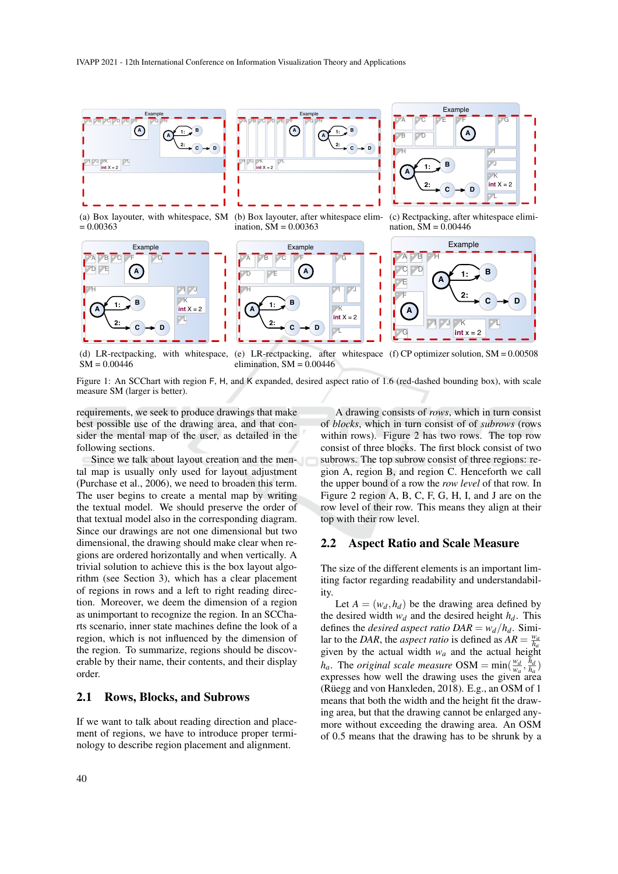

(a) Box layouter, with whitespace, SM

**Example** 

**-** F **+** G

**B**

**-** H **+** I **+** J

**1: 2:**

 $= 0.00363$ 

**+** A **+** B **+** C **<sup>+</sup>** <sup>D</sup> **<sup>+</sup>** <sup>E</sup> **A**

**A**

Example **+** A **+** B **+** C **+** D **+** E **A -** F **+** G **A B C D 1: 2: -** H **+** I **+** J **int**  $X = 2$ **-** K **+** L

(b) Box layouter, after whitespace elimination, SM = 0.00363





(c) Rectpacking, after whitespace elimination,  $SM = 0.00446$ 



 $SM = 0.00446$ 

**C D**

(d) LR-rectpacking, with whitespace, (e) LR-rectpacking, after whitespace (f) CP optimizer solution, SM = 0.00508 elimination,  $SM = 0.00446$ 

Figure 1: An SCChart with region F, H, and K expanded, desired aspect ratio of 1.6 (red-dashed bounding box), with scale measure SM (larger is better).

requirements, we seek to produce drawings that make best possible use of the drawing area, and that consider the mental map of the user, as detailed in the following sections.

 $int X =$ **-** K **+** L

 $\overline{\phantom{a}}$ 

Since we talk about layout creation and the mental map is usually only used for layout adjustment (Purchase et al., 2006), we need to broaden this term. The user begins to create a mental map by writing the textual model. We should preserve the order of that textual model also in the corresponding diagram. Since our drawings are not one dimensional but two dimensional, the drawing should make clear when regions are ordered horizontally and when vertically. A trivial solution to achieve this is the box layout algorithm (see Section 3), which has a clear placement of regions in rows and a left to right reading direction. Moreover, we deem the dimension of a region as unimportant to recognize the region. In an SCCharts scenario, inner state machines define the look of a region, which is not influenced by the dimension of the region. To summarize, regions should be discoverable by their name, their contents, and their display order.

### 2.1 Rows, Blocks, and Subrows

If we want to talk about reading direction and placement of regions, we have to introduce proper terminology to describe region placement and alignment.

A drawing consists of *rows*, which in turn consist of *blocks*, which in turn consist of of *subrows* (rows within rows). Figure 2 has two rows. The top row consist of three blocks. The first block consist of two subrows. The top subrow consist of three regions: region A, region B, and region C. Henceforth we call the upper bound of a row the *row level* of that row. In Figure 2 region A, B, C, F, G, H, I, and J are on the row level of their row. This means they align at their top with their row level.

#### 2.2 Aspect Ratio and Scale Measure

The size of the different elements is an important limiting factor regarding readability and understandability.

Let  $A = (w_d, h_d)$  be the drawing area defined by the desired width  $w_d$  and the desired height  $h_d$ . This defines the *desired aspect ratio*  $DAR = w_d/h_d$ . Similar to the *DAR*, the *aspect ratio* is defined as  $AR = \frac{w_a}{h_a}$ given by the actual width  $w_a$  and the actual height *h<sub>a</sub>*. The *original scale measure* OSM =  $min(\frac{w_d}{w_a}, \frac{h_d}{h_a})$ expresses how well the drawing uses the given area (Rüegg and von Hanxleden, 2018). E.g., an OSM of  $1$ means that both the width and the height fit the drawing area, but that the drawing cannot be enlarged anymore without exceeding the drawing area. An OSM of 0.5 means that the drawing has to be shrunk by a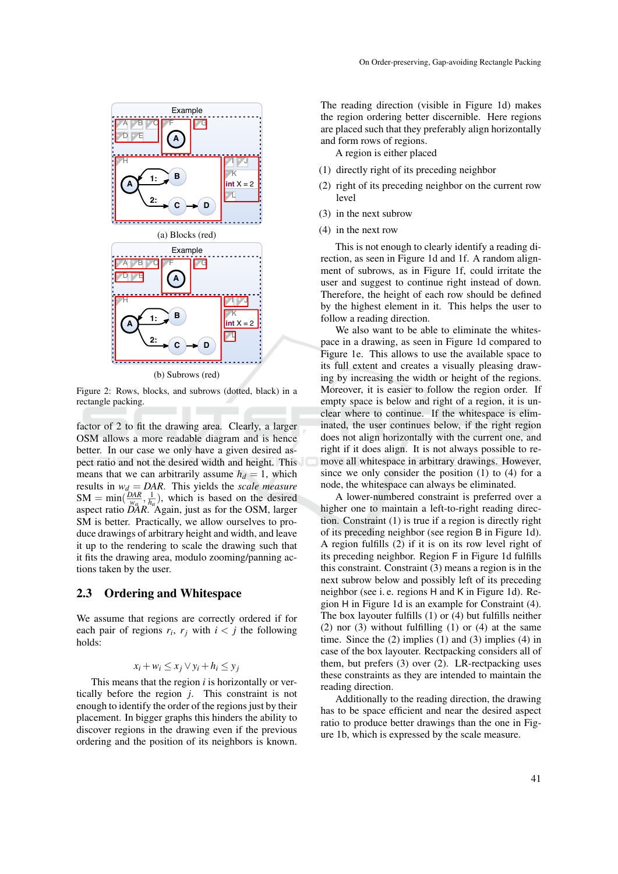

(b) Subrows (red)

Figure 2: Rows, blocks, and subrows (dotted, black) in a rectangle packing.

factor of 2 to fit the drawing area. Clearly, a larger OSM allows a more readable diagram and is hence better. In our case we only have a given desired aspect ratio and not the desired width and height. This means that we can arbitrarily assume  $h_d = 1$ , which results in  $w_d = DAR$ . This yields the *scale measure*  $SM = min(\frac{DAR}{wa}, \frac{1}{h_a})$ , which is based on the desired aspect ratio *DAR*. Again, just as for the OSM, larger SM is better. Practically, we allow ourselves to produce drawings of arbitrary height and width, and leave it up to the rendering to scale the drawing such that it fits the drawing area, modulo zooming/panning actions taken by the user.

#### 2.3 Ordering and Whitespace

We assume that regions are correctly ordered if for each pair of regions  $r_i$ ,  $r_j$  with  $i < j$  the following holds:

$$
x_i + w_i \le x_j \vee y_i + h_i \le y_j
$$

This means that the region *i* is horizontally or vertically before the region *j*. This constraint is not enough to identify the order of the regions just by their placement. In bigger graphs this hinders the ability to discover regions in the drawing even if the previous ordering and the position of its neighbors is known.

The reading direction (visible in Figure 1d) makes the region ordering better discernible. Here regions are placed such that they preferably align horizontally and form rows of regions.

A region is either placed

- (1) directly right of its preceding neighbor
- (2) right of its preceding neighbor on the current row level
- (3) in the next subrow
- (4) in the next row

This is not enough to clearly identify a reading direction, as seen in Figure 1d and 1f. A random alignment of subrows, as in Figure 1f, could irritate the user and suggest to continue right instead of down. Therefore, the height of each row should be defined by the highest element in it. This helps the user to follow a reading direction.

We also want to be able to eliminate the whitespace in a drawing, as seen in Figure 1d compared to Figure 1e. This allows to use the available space to its full extent and creates a visually pleasing drawing by increasing the width or height of the regions. Moreover, it is easier to follow the region order. If empty space is below and right of a region, it is unclear where to continue. If the whitespace is eliminated, the user continues below, if the right region does not align horizontally with the current one, and right if it does align. It is not always possible to remove all whitespace in arbitrary drawings. However, since we only consider the position (1) to (4) for a node, the whitespace can always be eliminated.

A lower-numbered constraint is preferred over a higher one to maintain a left-to-right reading direction. Constraint (1) is true if a region is directly right of its preceding neighbor (see region B in Figure 1d). A region fulfills (2) if it is on its row level right of its preceding neighbor. Region F in Figure 1d fulfills this constraint. Constraint (3) means a region is in the next subrow below and possibly left of its preceding neighbor (see i. e. regions H and K in Figure 1d). Region H in Figure 1d is an example for Constraint (4). The box layouter fulfills (1) or (4) but fulfills neither  $(2)$  nor  $(3)$  without fulfilling  $(1)$  or  $(4)$  at the same time. Since the  $(2)$  implies  $(1)$  and  $(3)$  implies  $(4)$  in case of the box layouter. Rectpacking considers all of them, but prefers (3) over (2). LR-rectpacking uses these constraints as they are intended to maintain the reading direction.

Additionally to the reading direction, the drawing has to be space efficient and near the desired aspect ratio to produce better drawings than the one in Figure 1b, which is expressed by the scale measure.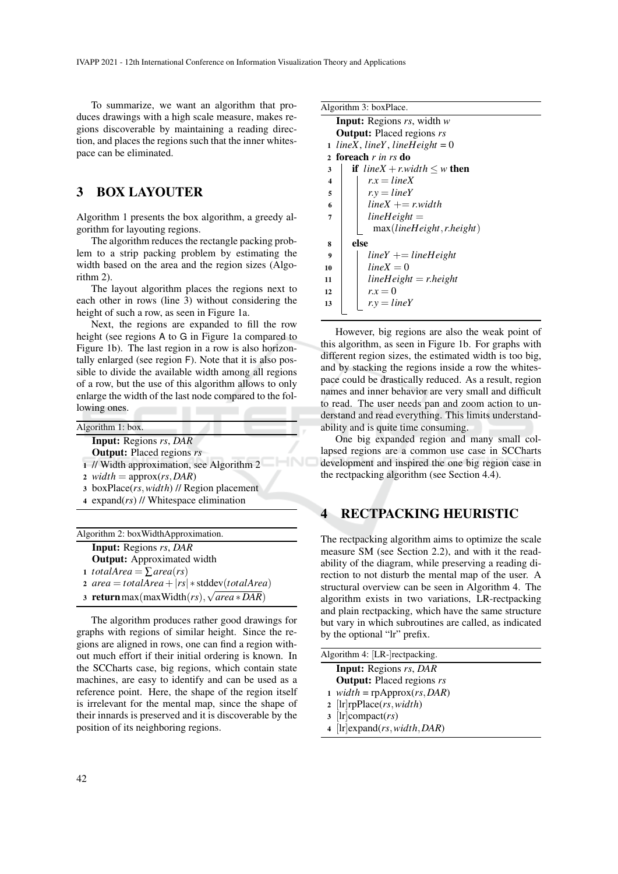To summarize, we want an algorithm that produces drawings with a high scale measure, makes regions discoverable by maintaining a reading direction, and places the regions such that the inner whitespace can be eliminated.

## 3 BOX LAYOUTER

Algorithm 1 presents the box algorithm, a greedy algorithm for layouting regions.

The algorithm reduces the rectangle packing problem to a strip packing problem by estimating the width based on the area and the region sizes (Algorithm 2).

The layout algorithm places the regions next to each other in rows (line 3) without considering the height of such a row, as seen in Figure 1a.

Next, the regions are expanded to fill the row height (see regions A to G in Figure 1a compared to Figure 1b). The last region in a row is also horizontally enlarged (see region F). Note that it is also possible to divide the available width among all regions of a row, but the use of this algorithm allows to only enlarge the width of the last node compared to the following ones. ---

| Algorithm 1: box.                                 |                                                  |
|---------------------------------------------------|--------------------------------------------------|
| <b>Input:</b> Regions rs, DAR                     |                                                  |
| <b>Output:</b> Placed regions rs                  |                                                  |
|                                                   | 1 // Width approximation, see Algorithm 2        |
| 2 <i>width</i> = approx( <i>rs</i> , <i>DAR</i> ) |                                                  |
|                                                   | $\alpha$ boxPlace(rs, width) // Region placement |
| 4 expand $(rs)$ // Whitespace elimination         |                                                  |

| Algorithm 2: boxWidthApproximation.                 |  |
|-----------------------------------------------------|--|
| <b>Input:</b> Regions rs, DAR                       |  |
| <b>Output:</b> Approximated width                   |  |
| 1 totalArea = $\sum$ area(rs)                       |  |
| 2 area = totalArea + $ rs $ * stddev(totalArea)     |  |
| 3 return max (max Width $(rs), \sqrt{area * DAR}$ ) |  |

The algorithm produces rather good drawings for graphs with regions of similar height. Since the regions are aligned in rows, one can find a region without much effort if their initial ordering is known. In the SCCharts case, big regions, which contain state machines, are easy to identify and can be used as a reference point. Here, the shape of the region itself is irrelevant for the mental map, since the shape of their innards is preserved and it is discoverable by the position of its neighboring regions.

| Algorithm 3: boxPlace.           |                                         |
|----------------------------------|-----------------------------------------|
|                                  | <b>Input:</b> Regions $rs$ , width $w$  |
| <b>Output:</b> Placed regions rs |                                         |
| 1                                | $line X$ , $line Y$ , $line Height = 0$ |
| 2 foreach r in rs do             |                                         |
| 3                                | <b>if</b> lineX + r.width $\leq w$ then |
| $\overline{\mathbf{4}}$          | $r x = line X$                          |
| 5                                | $r.v = lineY$                           |
| 6                                | $line X += r. width$                    |
| 7                                | $lineHeight =$                          |
|                                  | max(lineHeight, r height)               |
| 8                                | else                                    |
| 9                                | $lineY += lineHeight$                   |
| 10                               | $line X = 0$                            |
| 11                               | $lineHeight =$ r.height                 |
| 12                               | $r.x=0$                                 |
| 13                               | $r.v = lineY$                           |
|                                  |                                         |

However, big regions are also the weak point of this algorithm, as seen in Figure 1b. For graphs with different region sizes, the estimated width is too big, and by stacking the regions inside a row the whitespace could be drastically reduced. As a result, region names and inner behavior are very small and difficult to read. The user needs pan and zoom action to understand and read everything. This limits understandability and is quite time consuming.

One big expanded region and many small collapsed regions are a common use case in SCCharts development and inspired the one big region case in the rectpacking algorithm (see Section 4.4).

## 4 RECTPACKING HEURISTIC

The rectpacking algorithm aims to optimize the scale measure SM (see Section 2.2), and with it the readability of the diagram, while preserving a reading direction to not disturb the mental map of the user. A structural overview can be seen in Algorithm 4. The algorithm exists in two variations, LR-rectpacking and plain rectpacking, which have the same structure but vary in which subroutines are called, as indicated by the optional "lr" prefix.

| Algorithm 4: [LR-] rectpacking.           |
|-------------------------------------------|
| <b>Input:</b> Regions rs, DAR             |
| <b>Output:</b> Placed regions rs          |
| 1 width = $rpApprox(rs, DAR)$             |
| 2 $[\text{lr}]$ rpPlace $(rs, width)$     |
| $3$ [lr]compact( <i>rs</i> )              |
| 4 $[\text{lr}]$ expand $(rs, width, DAR)$ |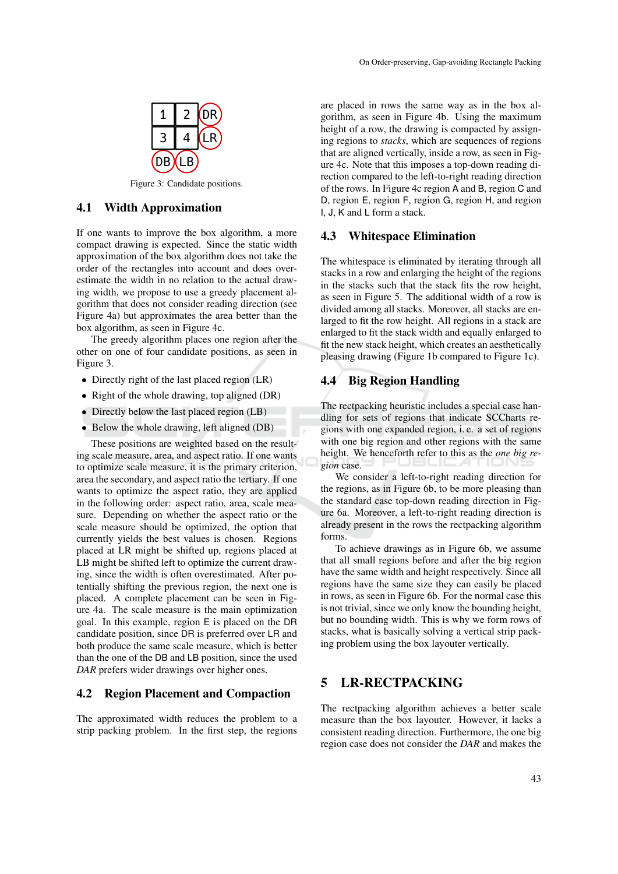

Figure 3: Candidate positions.

### 4.1 Width Approximation

If one wants to improve the box algorithm, a more compact drawing is expected. Since the static width approximation of the box algorithm does not take the order of the rectangles into account and does overestimate the width in no relation to the actual drawing width, we propose to use a greedy placement algorithm that does not consider reading direction (see Figure 4a) but approximates the area better than the box algorithm, as seen in Figure 4c.

The greedy algorithm places one region after the other on one of four candidate positions, as seen in Figure 3.

- Directly right of the last placed region (LR)
- Right of the whole drawing, top aligned (DR)
- Directly below the last placed region (LB)
- Below the whole drawing, left aligned (DB)

These positions are weighted based on the resulting scale measure, area, and aspect ratio. If one wants to optimize scale measure, it is the primary criterion, area the secondary, and aspect ratio the tertiary. If one wants to optimize the aspect ratio, they are applied in the following order: aspect ratio, area, scale measure. Depending on whether the aspect ratio or the scale measure should be optimized, the option that currently yields the best values is chosen. Regions placed at LR might be shifted up, regions placed at LB might be shifted left to optimize the current drawing, since the width is often overestimated. After potentially shifting the previous region, the next one is placed. A complete placement can be seen in Figure 4a. The scale measure is the main optimization goal. In this example, region E is placed on the DR candidate position, since DR is preferred over LR and both produce the same scale measure, which is better than the one of the DB and LB position, since the used *DAR* prefers wider drawings over higher ones.

#### 4.2 Region Placement and Compaction

The approximated width reduces the problem to a strip packing problem. In the first step, the regions are placed in rows the same way as in the box algorithm, as seen in Figure 4b. Using the maximum height of a row, the drawing is compacted by assigning regions to *stacks*, which are sequences of regions that are aligned vertically, inside a row, as seen in Figure 4c. Note that this imposes a top-down reading direction compared to the left-to-right reading direction of the rows. In Figure 4c region A and B, region C and D, region E, region F, region G, region H, and region I, J, K and L form a stack.

### 4.3 Whitespace Elimination

The whitespace is eliminated by iterating through all stacks in a row and enlarging the height of the regions in the stacks such that the stack fits the row height, as seen in Figure 5. The additional width of a row is divided among all stacks. Moreover, all stacks are enlarged to fit the row height. All regions in a stack are enlarged to fit the stack width and equally enlarged to fit the new stack height, which creates an aesthetically pleasing drawing (Figure 1b compared to Figure 1c).

#### 4.4 Big Region Handling

The rectpacking heuristic includes a special case handling for sets of regions that indicate SCCharts regions with one expanded region, i. e. a set of regions with one big region and other regions with the same height. We henceforth refer to this as the *one big region* case.

We consider a left-to-right reading direction for the regions, as in Figure 6b, to be more pleasing than the standard case top-down reading direction in Figure 6a. Moreover, a left-to-right reading direction is already present in the rows the rectpacking algorithm forms.

To achieve drawings as in Figure 6b, we assume that all small regions before and after the big region have the same width and height respectively. Since all regions have the same size they can easily be placed in rows, as seen in Figure 6b. For the normal case this is not trivial, since we only know the bounding height, but no bounding width. This is why we form rows of stacks, what is basically solving a vertical strip packing problem using the box layouter vertically.

### 5 LR-RECTPACKING

The rectpacking algorithm achieves a better scale measure than the box layouter. However, it lacks a consistent reading direction. Furthermore, the one big region case does not consider the *DAR* and makes the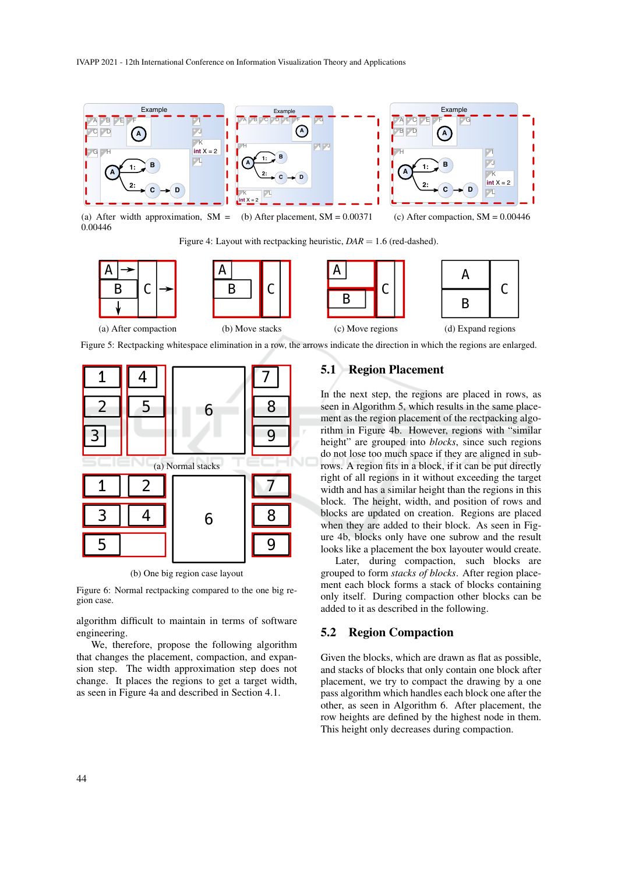

(a) After width approximation,  $SM =$  (b) After placement,  $SM = 0.00371$ 0.00446

Figure 4: Layout with rectpacking heuristic,  $DAR = 1.6$  (red-dashed).









Figure 5: Rectpacking whitespace elimination in a row, the arrows indicate the direction in which the regions are enlarged.



(b) One big region case layout

Figure 6: Normal rectpacking compared to the one big region case.

algorithm difficult to maintain in terms of software engineering.

We, therefore, propose the following algorithm that changes the placement, compaction, and expansion step. The width approximation step does not change. It places the regions to get a target width, as seen in Figure 4a and described in Section 4.1.

### 5.1 Region Placement

In the next step, the regions are placed in rows, as seen in Algorithm 5, which results in the same placement as the region placement of the rectpacking algorithm in Figure 4b. However, regions with "similar height" are grouped into *blocks*, since such regions do not lose too much space if they are aligned in subrows. A region fits in a block, if it can be put directly right of all regions in it without exceeding the target width and has a similar height than the regions in this block. The height, width, and position of rows and blocks are updated on creation. Regions are placed when they are added to their block. As seen in Figure 4b, blocks only have one subrow and the result looks like a placement the box layouter would create.

Later, during compaction, such blocks are grouped to form *stacks of blocks*. After region placement each block forms a stack of blocks containing only itself. During compaction other blocks can be added to it as described in the following.

#### 5.2 Region Compaction

Given the blocks, which are drawn as flat as possible, and stacks of blocks that only contain one block after placement, we try to compact the drawing by a one pass algorithm which handles each block one after the other, as seen in Algorithm 6. After placement, the row heights are defined by the highest node in them. This height only decreases during compaction.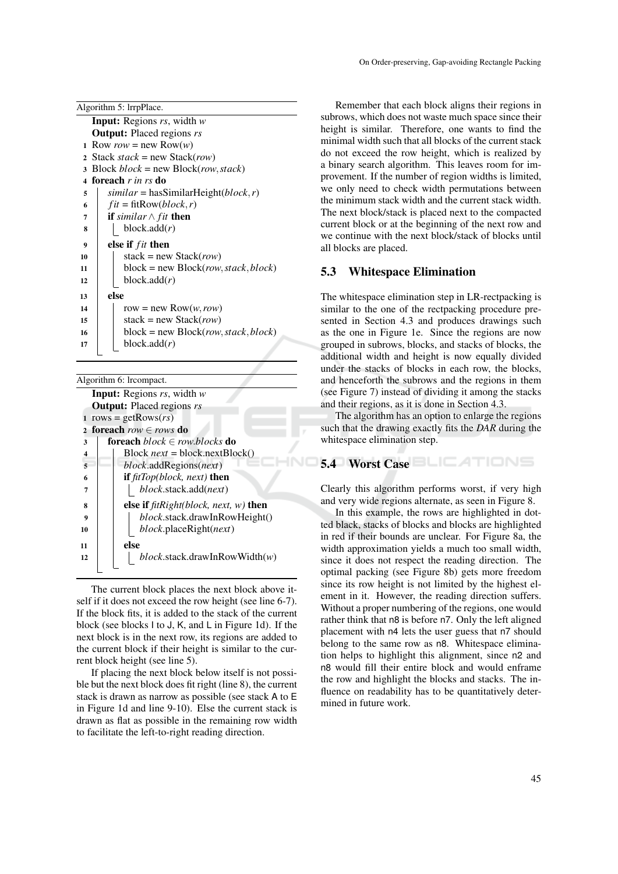| On Order-preserving, Gap-avoiding Rectangle Packing |  |
|-----------------------------------------------------|--|
|-----------------------------------------------------|--|

|    | Algorithm 5: lrrpPlace.                    |
|----|--------------------------------------------|
|    | <b>Input:</b> Regions $rs$ , width $w$     |
|    | <b>Output:</b> Placed regions rs           |
| 1  | Row <i>row</i> = new Row( <i>w</i> )       |
|    | 2 Stack $stack = new Stack(row)$           |
| 3  | Block $block = new Block(row, stack)$      |
|    | 4 foreach <i>r in rs</i> do                |
| 5  | $similar = hasSimilarHeight(block,r)$      |
| 6  | $fit = \text{fitRow}(block, r)$            |
| 7  | <b>if</b> similar $\wedge$ fit <b>then</b> |
| 8  | block.add(r)                               |
| 9  | else if <i>fit</i> then                    |
| 10 | stack = new Stack( <i>row</i> )            |
| 11 | $block = new Block(row, stack,block)$      |
| 12 | block.add(r)                               |
| 13 | else                                       |
| 14 | row = new Row $(w, row)$                   |
| 15 | stack = new Stack( <i>row</i> )            |
| 16 | $block = new Block(row, stack,block)$      |
| 17 | block.add(r)                               |
|    |                                            |

| Algorithm 6: Ircompact.                              |
|------------------------------------------------------|
| <b>Input:</b> Regions $rs$ , width $w$               |
| <b>Output:</b> Placed regions rs                     |
| 1 rows = getRows( $rs$ )                             |
| 2 foreach $row \in rows$ do                          |
| <b>foreach</b> $block \in row blocks$ <b>do</b><br>3 |
| Block $next = block.nextBlock()$<br>4                |
| 5<br><i>block.addRegions(next)</i>                   |
| if $fitTop(block, next)$ then<br>6                   |
| block.stack.add(next)<br>7                           |
| else if $fitRight(block, next, w)$ then<br>8         |
| <i>block.stack.drawInRowHeight()</i><br>9            |
| <i>block</i> .placeRight( <i>next</i> )<br>10        |
| else<br>11                                           |
| $block$ .stack.drawInRowWidth $(w)$<br>12            |
|                                                      |

The current block places the next block above itself if it does not exceed the row height (see line 6-7). If the block fits, it is added to the stack of the current block (see blocks I to J, K, and L in Figure 1d). If the next block is in the next row, its regions are added to the current block if their height is similar to the current block height (see line 5).

If placing the next block below itself is not possible but the next block does fit right (line 8), the current stack is drawn as narrow as possible (see stack A to E in Figure 1d and line 9-10). Else the current stack is drawn as flat as possible in the remaining row width to facilitate the left-to-right reading direction.

Remember that each block aligns their regions in subrows, which does not waste much space since their height is similar. Therefore, one wants to find the minimal width such that all blocks of the current stack do not exceed the row height, which is realized by a binary search algorithm. This leaves room for improvement. If the number of region widths is limited, we only need to check width permutations between the minimum stack width and the current stack width. The next block/stack is placed next to the compacted current block or at the beginning of the next row and we continue with the next block/stack of blocks until all blocks are placed.

### 5.3 Whitespace Elimination

The whitespace elimination step in LR-rectpacking is similar to the one of the rectpacking procedure presented in Section 4.3 and produces drawings such as the one in Figure 1e. Since the regions are now grouped in subrows, blocks, and stacks of blocks, the additional width and height is now equally divided under the stacks of blocks in each row, the blocks, and henceforth the subrows and the regions in them (see Figure 7) instead of dividing it among the stacks and their regions, as it is done in Section 4.3.

The algorithm has an option to enlarge the regions such that the drawing exactly fits the *DAR* during the whitespace elimination step.

# 5.4 Worst Case

Clearly this algorithm performs worst, if very high and very wide regions alternate, as seen in Figure 8.

In this example, the rows are highlighted in dotted black, stacks of blocks and blocks are highlighted in red if their bounds are unclear. For Figure 8a, the width approximation yields a much too small width, since it does not respect the reading direction. The optimal packing (see Figure 8b) gets more freedom since its row height is not limited by the highest element in it. However, the reading direction suffers. Without a proper numbering of the regions, one would rather think that n8 is before n7. Only the left aligned placement with n4 lets the user guess that n7 should belong to the same row as n8. Whitespace elimination helps to highlight this alignment, since n2 and n8 would fill their entire block and would enframe the row and highlight the blocks and stacks. The influence on readability has to be quantitatively determined in future work.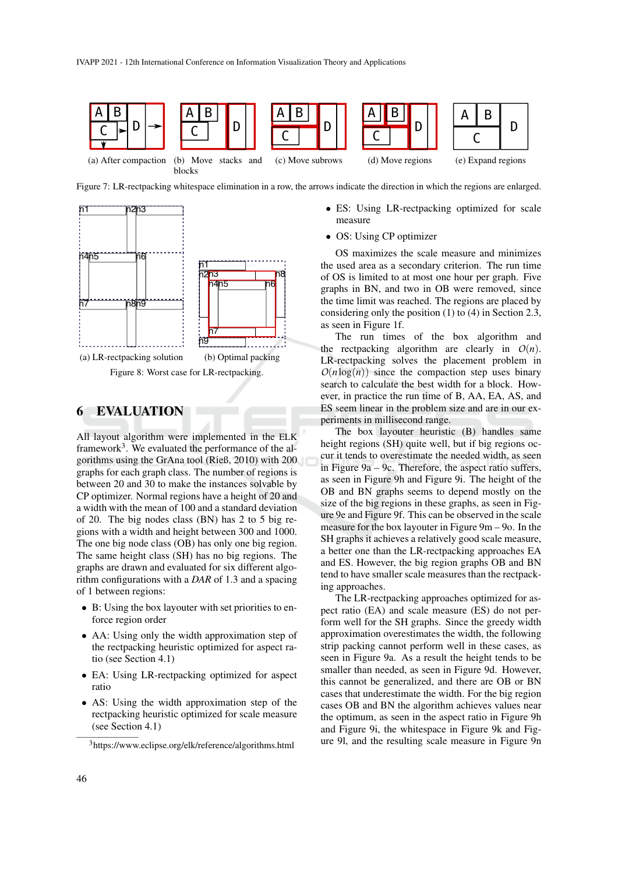

Figure 7: LR-rectpacking whitespace elimination in a row, the arrows indicate the direction in which the regions are enlarged.





### 6 EVALUATION

All layout algorithm were implemented in the ELK framework<sup>3</sup>. We evaluated the performance of the algorithms using the GrAna tool (Rieß, 2010) with 200 graphs for each graph class. The number of regions is between 20 and 30 to make the instances solvable by CP optimizer. Normal regions have a height of 20 and a width with the mean of 100 and a standard deviation of 20. The big nodes class (BN) has 2 to 5 big regions with a width and height between 300 and 1000. The one big node class (OB) has only one big region. The same height class (SH) has no big regions. The graphs are drawn and evaluated for six different algorithm configurations with a *DAR* of 1.3 and a spacing of 1 between regions:

- B: Using the box layouter with set priorities to enforce region order
- AA: Using only the width approximation step of the rectpacking heuristic optimized for aspect ratio (see Section 4.1)
- EA: Using LR-rectpacking optimized for aspect ratio
- AS: Using the width approximation step of the rectpacking heuristic optimized for scale measure (see Section 4.1)
- ES: Using LR-rectpacking optimized for scale measure
- OS: Using CP optimizer

OS maximizes the scale measure and minimizes the used area as a secondary criterion. The run time of OS is limited to at most one hour per graph. Five graphs in BN, and two in OB were removed, since the time limit was reached. The regions are placed by considering only the position (1) to (4) in Section 2.3, as seen in Figure 1f.

The run times of the box algorithm and the rectpacking algorithm are clearly in  $O(n)$ . LR-rectpacking solves the placement problem in  $O(n \log(n))$  since the compaction step uses binary search to calculate the best width for a block. However, in practice the run time of B, AA, EA, AS, and ES seem linear in the problem size and are in our experiments in millisecond range.

The box layouter heuristic (B) handles same height regions (SH) quite well, but if big regions occur it tends to overestimate the needed width, as seen in Figure 9a – 9c. Therefore, the aspect ratio suffers, as seen in Figure 9h and Figure 9i. The height of the OB and BN graphs seems to depend mostly on the size of the big regions in these graphs, as seen in Figure 9e and Figure 9f. This can be observed in the scale measure for the box layouter in Figure 9m – 9o. In the SH graphs it achieves a relatively good scale measure, a better one than the LR-rectpacking approaches EA and ES. However, the big region graphs OB and BN tend to have smaller scale measures than the rectpacking approaches.

The LR-rectpacking approaches optimized for aspect ratio (EA) and scale measure (ES) do not perform well for the SH graphs. Since the greedy width approximation overestimates the width, the following strip packing cannot perform well in these cases, as seen in Figure 9a. As a result the height tends to be smaller than needed, as seen in Figure 9d. However, this cannot be generalized, and there are OB or BN cases that underestimate the width. For the big region cases OB and BN the algorithm achieves values near the optimum, as seen in the aspect ratio in Figure 9h and Figure 9i, the whitespace in Figure 9k and Figure 9l, and the resulting scale measure in Figure 9n

<sup>3</sup>https://www.eclipse.org/elk/reference/algorithms.html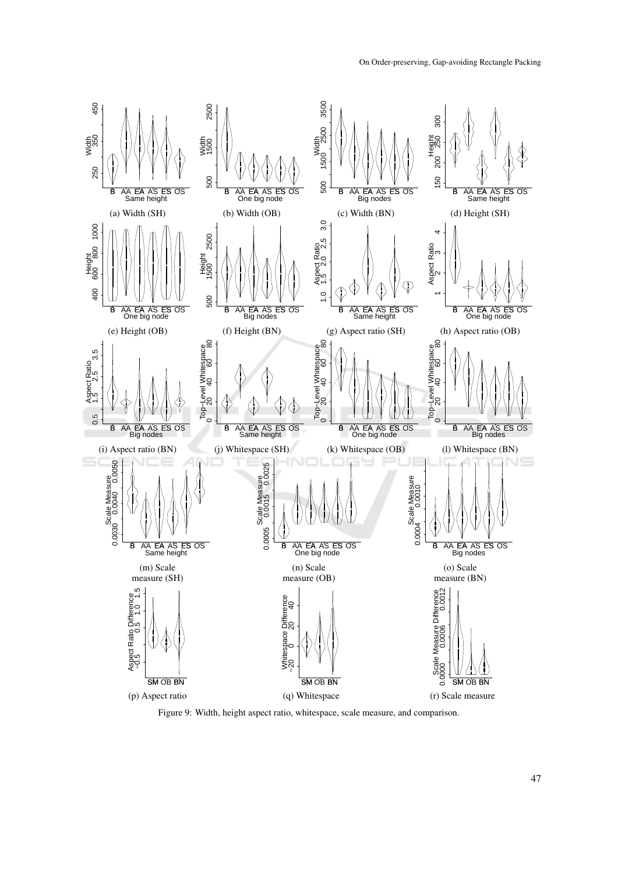

Figure 9: Width, height aspect ratio, whitespace, scale measure, and comparison.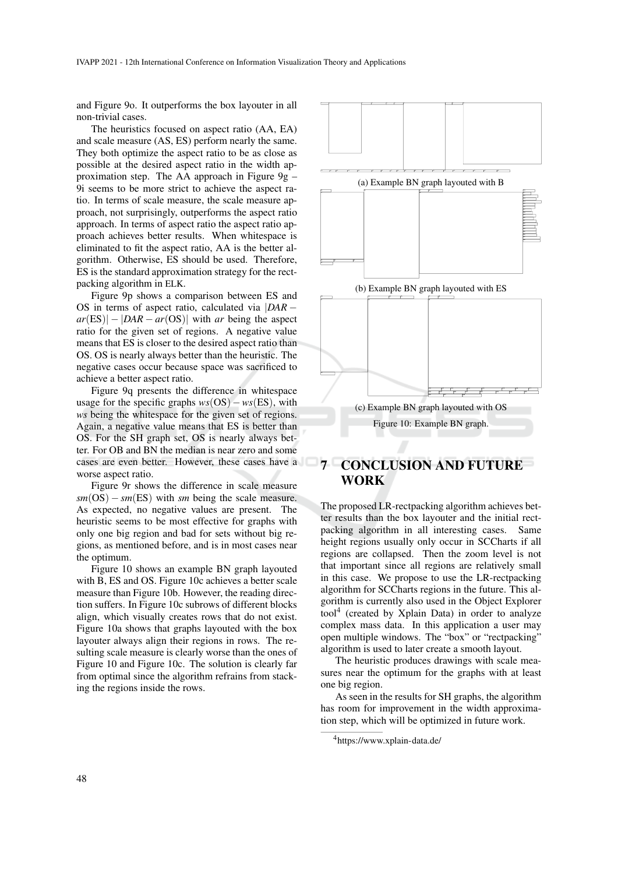and Figure 9o. It outperforms the box layouter in all non-trivial cases.

The heuristics focused on aspect ratio (AA, EA) and scale measure (AS, ES) perform nearly the same. They both optimize the aspect ratio to be as close as possible at the desired aspect ratio in the width approximation step. The AA approach in Figure 9g – 9i seems to be more strict to achieve the aspect ratio. In terms of scale measure, the scale measure approach, not surprisingly, outperforms the aspect ratio approach. In terms of aspect ratio the aspect ratio approach achieves better results. When whitespace is eliminated to fit the aspect ratio, AA is the better algorithm. Otherwise, ES should be used. Therefore, ES is the standard approximation strategy for the rectpacking algorithm in ELK.

Figure 9p shows a comparison between ES and OS in terms of aspect ratio, calculated via |*DAR* −  $ar(ES)| - |DAR - ar(OS)|$  with *ar* being the aspect ratio for the given set of regions. A negative value means that ES is closer to the desired aspect ratio than OS. OS is nearly always better than the heuristic. The negative cases occur because space was sacrificed to achieve a better aspect ratio.

Figure 9q presents the difference in whitespace usage for the specific graphs *ws*(OS)−*ws*(ES), with *ws* being the whitespace for the given set of regions. Again, a negative value means that ES is better than OS. For the SH graph set, OS is nearly always better. For OB and BN the median is near zero and some cases are even better. However, these cases have a worse aspect ratio.

Figure 9r shows the difference in scale measure  $sm(S) - sm(ES)$  with *sm* being the scale measure. As expected, no negative values are present. The heuristic seems to be most effective for graphs with only one big region and bad for sets without big regions, as mentioned before, and is in most cases near the optimum.

Figure 10 shows an example BN graph layouted with B, ES and OS. Figure 10c achieves a better scale measure than Figure 10b. However, the reading direction suffers. In Figure 10c subrows of different blocks align, which visually creates rows that do not exist. Figure 10a shows that graphs layouted with the box layouter always align their regions in rows. The resulting scale measure is clearly worse than the ones of Figure 10 and Figure 10c. The solution is clearly far from optimal since the algorithm refrains from stacking the regions inside the rows.



# 7 CONCLUSION AND FUTURE WORK

The proposed LR-rectpacking algorithm achieves better results than the box layouter and the initial rectpacking algorithm in all interesting cases. Same height regions usually only occur in SCCharts if all regions are collapsed. Then the zoom level is not that important since all regions are relatively small in this case. We propose to use the LR-rectpacking algorithm for SCCharts regions in the future. This algorithm is currently also used in the Object Explorer tool<sup>4</sup> (created by Xplain Data) in order to analyze complex mass data. In this application a user may open multiple windows. The "box" or "rectpacking" algorithm is used to later create a smooth layout.

The heuristic produces drawings with scale measures near the optimum for the graphs with at least one big region.

As seen in the results for SH graphs, the algorithm has room for improvement in the width approximation step, which will be optimized in future work.

<sup>4</sup>https://www.xplain-data.de/